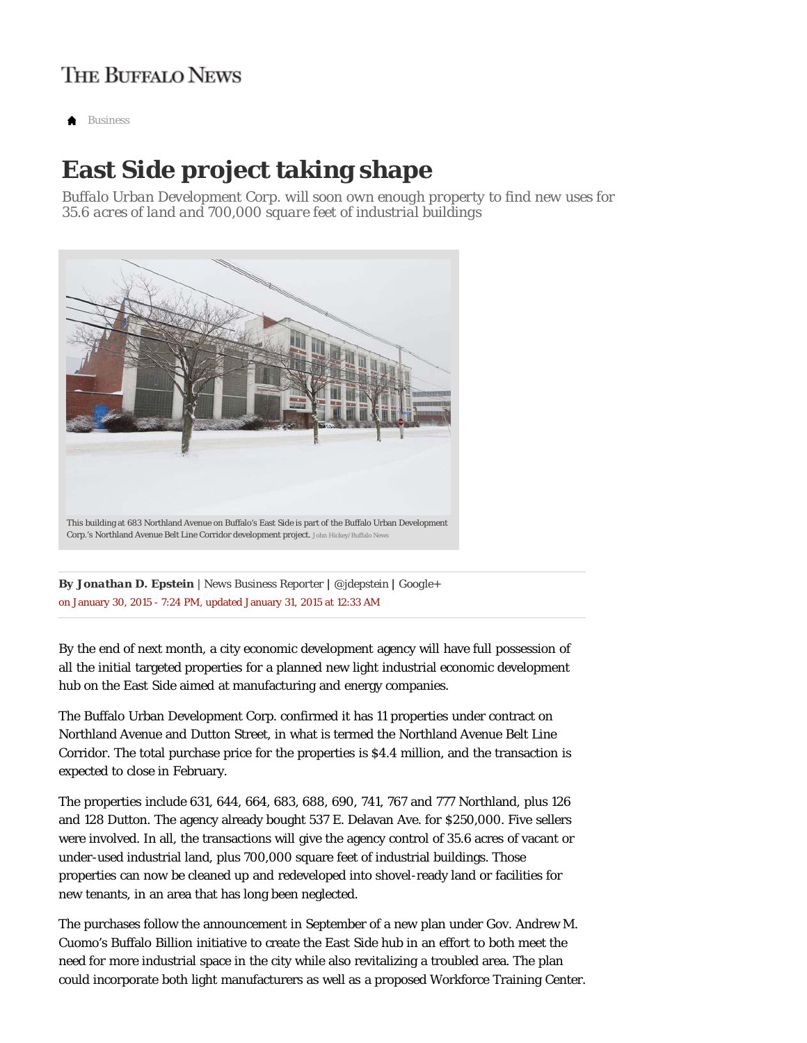## **THE BUFFALO NEWS**

*Business*

## **East Side project taking shape**

*Buffalo Urban Development Corp. will soon own enough property to find new uses for 35.6 acres of land and 700,000 square feet of industrial buildings*



on January 30, 2015 - 7:24 PM, updated January 31, 2015 at 12:33 AM *By Jonathan D. Epstein | News Business Reporter | @jdepstein | Google+*

By the end of next month, a city economic development agency will have full possession of all the initial targeted properties for a planned new light industrial economic development hub on the East Side aimed at manufacturing and energy companies.

The Buffalo Urban Development Corp. confirmed it has 11 properties under contract on Northland Avenue and Dutton Street, in what is termed the Northland Avenue Belt Line Corridor. The total purchase price for the properties is \$4.4 million, and the transaction is expected to close in February.

The properties include 631, 644, 664, 683, 688, 690, 741, 767 and 777 Northland, plus 126 and 128 Dutton. The agency already bought 537 E. Delavan Ave. for \$250,000. Five sellers were involved. In all, the transactions will give the agency control of 35.6 acres of vacant or under-used industrial land, plus 700,000 square feet of industrial buildings. Those properties can now be cleaned up and redeveloped into shovel-ready land or facilities for new tenants, in an area that has long been neglected.

The purchases follow the announcement in September of a new plan under Gov. Andrew M. Cuomo's Buffalo Billion initiative to create the East Side hub in an effort to both meet the need for more industrial space in the city while also revitalizing a troubled area. The plan could incorporate both light manufacturers as well as a proposed Workforce Training Center.